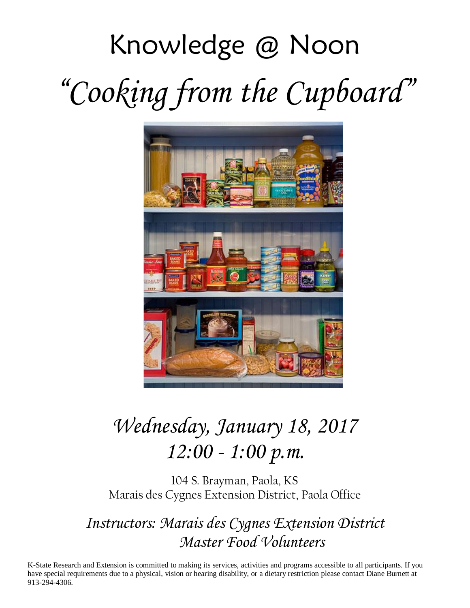# Knowledge @ Noon "*Cooking from the Cupboard*"



# *Wednesday, January 18, 2017 12:00 - 1:00 p.m.*

104 S. Brayman, Paola, KS Marais des Cygnes Extension District, Paola Office

*Instructors: Marais des Cygnes Extension District Master Food Volunteers*

K-State Research and Extension is committed to making its services, activities and programs accessible to all participants. If you have special requirements due to a physical, vision or hearing disability, or a dietary restriction please contact Diane Burnett at 913-294-4306.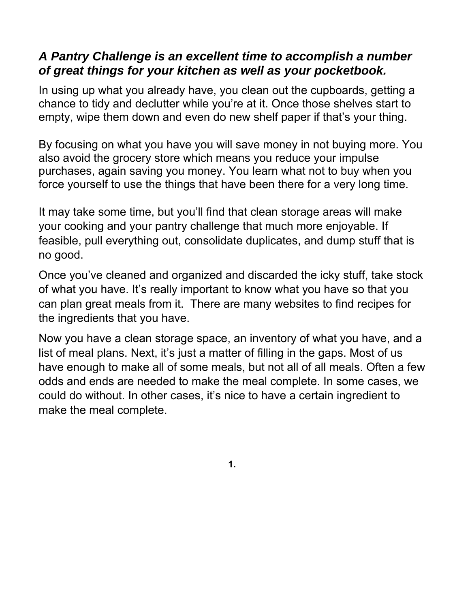# *A Pantry Challenge is an excellent time to accomplish a number of great things for your kitchen as well as your pocketbook.*

In using up what you already have, you clean out the cupboards, getting a chance to tidy and declutter while you're at it. Once those shelves start to empty, wipe them down and even do new shelf paper if that's your thing.

By focusing on what you have you will save money in not buying more. You also avoid the grocery store which means you reduce your impulse purchases, again saving you money. You learn what not to buy when you force yourself to use the things that have been there for a very long time.

It may take some time, but you'll find that clean storage areas will make your cooking and your pantry challenge that much more enjoyable. If feasible, pull everything out, consolidate duplicates, and dump stuff that is no good.

Once you've cleaned and organized and discarded the icky stuff, take stock of what you have. It's really important to know what you have so that you can plan great meals from it. There are many websites to find recipes for the ingredients that you have.

Now you have a clean storage space, an inventory of what you have, and a list of meal plans. Next, it's just a matter of filling in the gaps. Most of us have enough to make all of some meals, but not all of all meals. Often a few odds and ends are needed to make the meal complete. In some cases, we could do without. In other cases, it's nice to have a certain ingredient to make the meal complete.

**1.**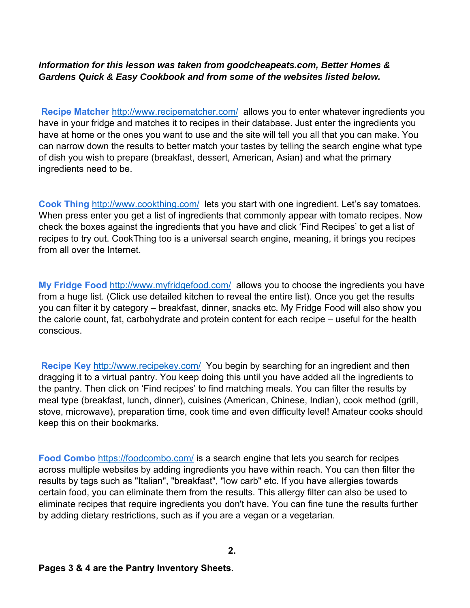#### *Information for this lesson was taken from goodcheapeats.com, Better Homes & Gardens Quick & Easy Cookbook and from some of the websites listed below.*

**Recipe Matcher** http://www.recipematcher.com/ allows you to enter whatever ingredients you have in your fridge and matches it to recipes in their database. Just enter the ingredients you have at home or the ones you want to use and the site will tell you all that you can make. You can narrow down the results to better match your tastes by telling the search engine what type of dish you wish to prepare (breakfast, dessert, American, Asian) and what the primary ingredients need to be.

**Cook Thing** http://www.cookthing.com/ lets you start with one ingredient. Let's say tomatoes. When press enter you get a list of ingredients that commonly appear with tomato recipes. Now check the boxes against the ingredients that you have and click 'Find Recipes' to get a list of recipes to try out. CookThing too is a universal search engine, meaning, it brings you recipes from all over the Internet.

**My Fridge Food** http://www.myfridgefood.com/ allows you to choose the ingredients you have from a huge list. (Click use detailed kitchen to reveal the entire list). Once you get the results you can filter it by category – breakfast, dinner, snacks etc. My Fridge Food will also show you the calorie count, fat, carbohydrate and protein content for each recipe – useful for the health conscious.

**Recipe Key** http://www.recipekey.com/ You begin by searching for an ingredient and then dragging it to a virtual pantry. You keep doing this until you have added all the ingredients to the pantry. Then click on 'Find recipes' to find matching meals. You can filter the results by meal type (breakfast, lunch, dinner), cuisines (American, Chinese, Indian), cook method (grill, stove, microwave), preparation time, cook time and even difficulty level! Amateur cooks should keep this on their bookmarks.

**Food Combo** https://foodcombo.com/ is a search engine that lets you search for recipes across multiple websites by adding ingredients you have within reach. You can then filter the results by tags such as "Italian", "breakfast", "low carb" etc. If you have allergies towards certain food, you can eliminate them from the results. This allergy filter can also be used to eliminate recipes that require ingredients you don't have. You can fine tune the results further by adding dietary restrictions, such as if you are a vegan or a vegetarian.

**Pages 3 & 4 are the Pantry Inventory Sheets.**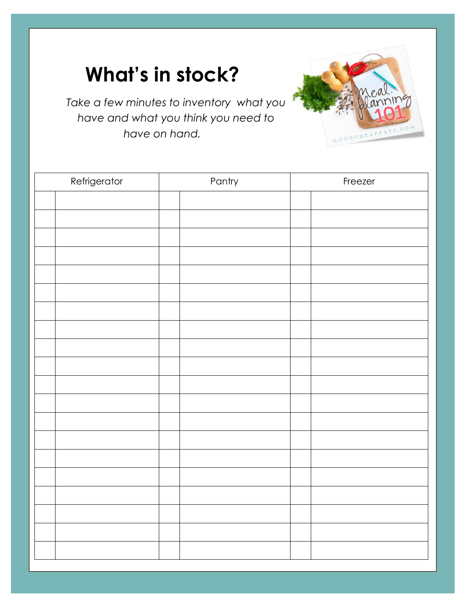# **What's in stock?**

*Take a few minutes to inventory what you have and what you think you need to have on hand.* 



GOODCHEAPEATS

سن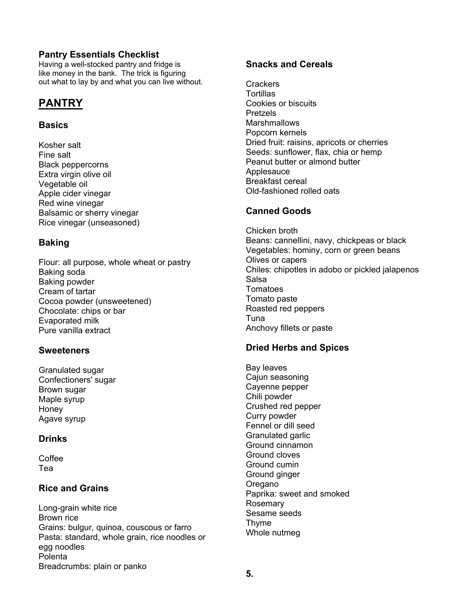#### **Pantry Essentials Checklist**

Having a well-stocked pantry and fridge is like money in the bank. The trick is figuring out what to lay by and what you can live without.

#### **PANTRY**

#### **Basics**

Kosher salt Fine salt Black peppercorns Extra virgin olive oil Vegetable oil Apple cider vinegar Red wine vinegar Balsamic or sherry vinegar Rice vinegar (unseasoned)

#### **Baking**

Flour: all purpose, whole wheat or pastry Baking soda Baking powder Cream of tartar Cocoa powder (unsweetened) Chocolate: chips or bar Evaporated milk Pure vanilla extract

#### **Sweeteners**

Granulated sugar Confectioners' sugar Brown sugar Maple syrup Honey Agave syrup

#### **Drinks**

Coffee Tea

#### **Rice and Grains**

Long-grain white rice Brown rice Grains: bulgur, quinoa, couscous or farro Pasta: standard, whole grain, rice noodles or egg noodles Polenta Breadcrumbs: plain or panko

#### **Snacks and Cereals**

**Crackers Tortillas** Cookies or biscuits Pretzels **Marshmallows** Popcorn kernels Dried fruit: raisins, apricots or cherries Seeds: sunflower, flax, chia or hemp Peanut butter or almond butter **Applesauce** Breakfast cereal Old-fashioned rolled oats

#### **Canned Goods**

Chicken broth Beans: cannellini, navy, chickpeas or black Vegetables: hominy, corn or green beans Olives or capers Chiles: chipotles in adobo or pickled jalapenos Salsa **Tomatoes** Tomato paste Roasted red peppers Tuna Anchovy fillets or paste

#### **Dried Herbs and Spices**

Bay leaves Cajun seasoning Cayenne pepper Chili powder Crushed red pepper Curry powder Fennel or dill seed Granulated garlic Ground cinnamon Ground cloves Ground cumin Ground ginger Oregano Paprika: sweet and smoked Rosemary Sesame seeds Thyme Whole nutmeg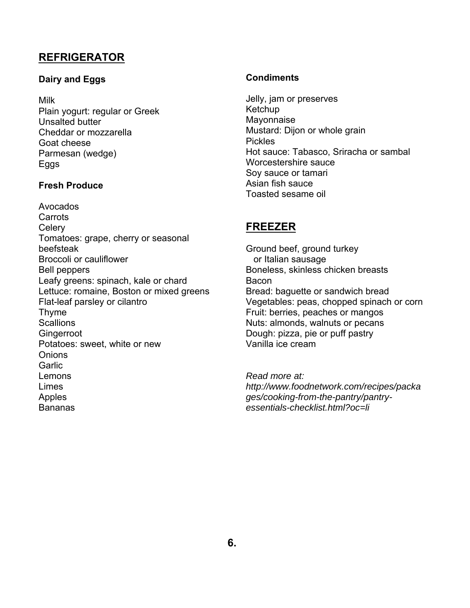#### **REFRIGERATOR**

#### **Dairy and Eggs**

#### Milk

Plain yogurt: regular or Greek Unsalted butter Cheddar or mozzarella Goat cheese Parmesan (wedge) Eggs

#### **Fresh Produce**

Avocados Carrots **Celery** Tomatoes: grape, cherry or seasonal beefsteak Broccoli or cauliflower Bell peppers Leafy greens: spinach, kale or chard Lettuce: romaine, Boston or mixed greens Flat-leaf parsley or cilantro Thyme **Scallions Gingerroot** Potatoes: sweet, white or new **Onions** Garlic Lemons Limes Apples Bananas

#### **Condiments**

Jelly, jam or preserves Ketchup Mayonnaise Mustard: Dijon or whole grain Pickles Hot sauce: Tabasco, Sriracha or sambal Worcestershire sauce Soy sauce or tamari Asian fish sauce Toasted sesame oil

#### **FREEZER**

Ground beef, ground turkey or Italian sausage Boneless, skinless chicken breasts Bacon Bread: baguette or sandwich bread Vegetables: peas, chopped spinach or corn Fruit: berries, peaches or mangos Nuts: almonds, walnuts or pecans Dough: pizza, pie or puff pastry Vanilla ice cream

*Read more at: http://www.foodnetwork.com/recipes/packa ges/cooking-from-the-pantry/pantryessentials-checklist.html?oc=li*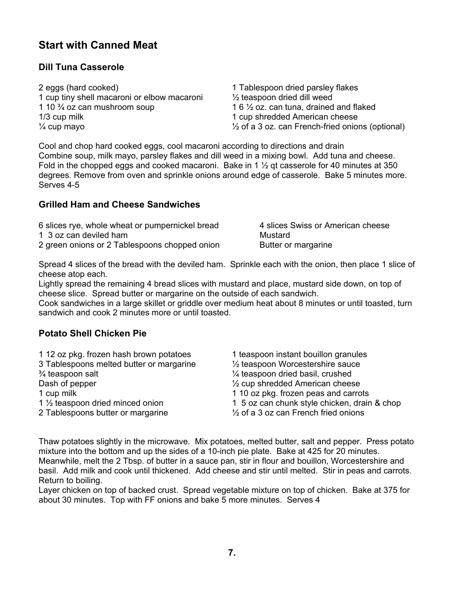#### **Start with Canned Meat**

#### **Dill Tuna Casserole**

| 2 eggs (hard cooked)                        | 1 Tablespoon dried parsley flakes                           |
|---------------------------------------------|-------------------------------------------------------------|
| 1 cup tiny shell macaroni or elbow macaroni | $\frac{1}{2}$ teaspoon dried dill weed                      |
| 1 10 $\frac{3}{4}$ oz can mushroom soup     | 1 6 $\frac{1}{2}$ oz. can tuna, drained and flaked          |
| $1/3$ cup milk                              | 1 cup shredded American cheese                              |
| $\frac{1}{4}$ cup mayo                      | $\frac{1}{2}$ of a 3 oz. can French-fried onions (optional) |

Cool and chop hard cooked eggs, cool macaroni according to directions and drain Combine soup, milk mayo, parsley flakes and dill weed in a mixing bowl. Add tuna and cheese. Fold in the chopped eggs and cooked macaroni. Bake in 1  $\frac{1}{2}$  gt casserole for 40 minutes at 350 degrees. Remove from oven and sprinkle onions around edge of casserole. Bake 5 minutes more. Serves 4-5

#### **Grilled Ham and Cheese Sandwiches**

| 6 slices rye, whole wheat or pumpernickel bread | 4 slices Swiss or American cheese |
|-------------------------------------------------|-----------------------------------|
| 1 3 oz can deviled ham                          | Mustard                           |
| 2 green onions or 2 Tablespoons chopped onion   | Butter or margarine               |

Spread 4 slices of the bread with the deviled ham. Sprinkle each with the onion, then place 1 slice of cheese atop each.

Lightly spread the remaining 4 bread slices with mustard and place, mustard side down, on top of cheese slice. Spread butter or margarine on the outside of each sandwich.

Cook sandwiches in a large skillet or griddle over medium heat about 8 minutes or until toasted, turn sandwich and cook 2 minutes more or until toasted.

#### **Potato Shell Chicken Pie**

| 112 oz pkg. frozen hash brown potatoes        | 1 teaspoon instant bouillon granules            |
|-----------------------------------------------|-------------------------------------------------|
| 3 Tablespoons melted butter or margarine      | $\frac{1}{2}$ teaspoon Worcestershire sauce     |
| 3/4 teaspoon salt                             | $\frac{1}{4}$ teaspoon dried basil, crushed     |
| Dash of pepper                                | $\frac{1}{2}$ cup shredded American cheese      |
| 1 cup milk                                    | 1 10 oz pkg. frozen peas and carrots            |
| 1 1/ <sub>2</sub> teaspoon dried minced onion | 1 5 oz can chunk style chicken, drain & chop    |
| 2 Tablespoons butter or margarine             | $\frac{1}{2}$ of a 3 oz can French fried onions |

Thaw potatoes slightly in the microwave. Mix potatoes, melted butter, salt and pepper. Press potato mixture into the bottom and up the sides of a 10-inch pie plate. Bake at 425 for 20 minutes. Meanwhile, melt the 2 Tbsp. of butter in a sauce pan, stir in flour and bouillon, Worcestershire and basil. Add milk and cook until thickened. Add cheese and stir until melted. Stir in peas and carrots. Return to boiling.

Layer chicken on top of backed crust. Spread vegetable mixture on top of chicken. Bake at 375 for about 30 minutes. Top with FF onions and bake 5 more minutes. Serves 4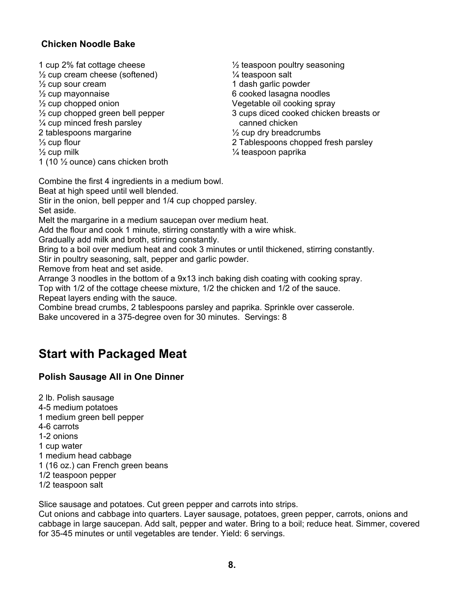#### **Chicken Noodle Bake**

- 1 cup 2% fat cottage cheese ½ teaspoon poultry seasoning  $\frac{1}{2}$  cup cream cheese (softened)  $\frac{1}{4}$  teaspoon salt  $\frac{1}{2}$  cup sour cream  $\frac{1}{2}$  cup mayonnaise<br> $\frac{1}{2}$  cup mayonnaise ½ cup chopped onion Vegetable oil cooking spray <sup>1/2</sup> cup chopped green bell pepper 3 cups diced cooked chicken breasts or  $\frac{1}{4}$  cup minced fresh parsley canned chicken 2 tablespoons margarine  $\frac{1}{2}$  cup dry breadcrumbs ⅓ cup flour 2 Tablespoons chopped fresh parsley  $\frac{1}{2}$  cup milk  $\frac{1}{2}$  cup milk 1 (10 ½ ounce) cans chicken broth
- 6 cooked lasagna noodles

Combine the first 4 ingredients in a medium bowl.

Beat at high speed until well blended.

Stir in the onion, bell pepper and 1/4 cup chopped parsley. Set aside.

Melt the margarine in a medium saucepan over medium heat.

Add the flour and cook 1 minute, stirring constantly with a wire whisk.

Gradually add milk and broth, stirring constantly.

Bring to a boil over medium heat and cook 3 minutes or until thickened, stirring constantly.

Stir in poultry seasoning, salt, pepper and garlic powder.

Remove from heat and set aside.

Arrange 3 noodles in the bottom of a 9x13 inch baking dish coating with cooking spray.

Top with 1/2 of the cottage cheese mixture, 1/2 the chicken and 1/2 of the sauce. Repeat layers ending with the sauce.

Combine bread crumbs, 2 tablespoons parsley and paprika. Sprinkle over casserole. Bake uncovered in a 375-degree oven for 30 minutes. Servings: 8

# **Start with Packaged Meat**

#### **Polish Sausage All in One Dinner**

2 lb. Polish sausage 4-5 medium potatoes 1 medium green bell pepper 4-6 carrots 1-2 onions 1 cup water 1 medium head cabbage 1 (16 oz.) can French green beans 1/2 teaspoon pepper 1/2 teaspoon salt

Slice sausage and potatoes. Cut green pepper and carrots into strips.

Cut onions and cabbage into quarters. Layer sausage, potatoes, green pepper, carrots, onions and cabbage in large saucepan. Add salt, pepper and water. Bring to a boil; reduce heat. Simmer, covered for 35-45 minutes or until vegetables are tender. Yield: 6 servings.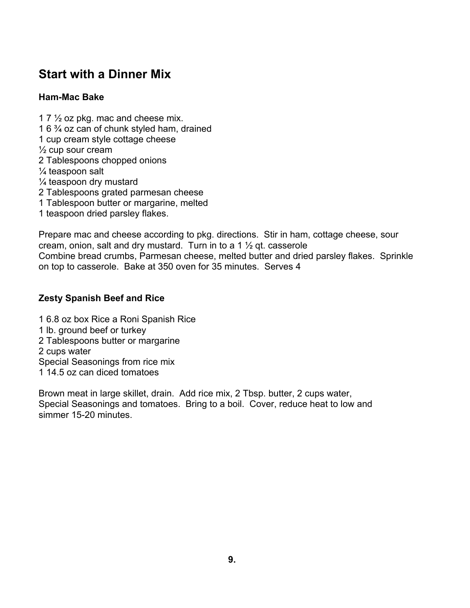# **Start with a Dinner Mix**

#### **Ham-Mac Bake**

1 7  $\frac{1}{2}$  oz pkg. mac and cheese mix. 1 6 ¾ oz can of chunk styled ham, drained 1 cup cream style cottage cheese ½ cup sour cream 2 Tablespoons chopped onions ¼ teaspoon salt  $\frac{1}{4}$  teaspoon dry mustard 2 Tablespoons grated parmesan cheese 1 Tablespoon butter or margarine, melted 1 teaspoon dried parsley flakes.

Prepare mac and cheese according to pkg. directions. Stir in ham, cottage cheese, sour cream, onion, salt and dry mustard. Turn in to a 1 ½ qt. casserole Combine bread crumbs, Parmesan cheese, melted butter and dried parsley flakes. Sprinkle on top to casserole. Bake at 350 oven for 35 minutes. Serves 4

#### **Zesty Spanish Beef and Rice**

1 6.8 oz box Rice a Roni Spanish Rice 1 lb. ground beef or turkey 2 Tablespoons butter or margarine 2 cups water Special Seasonings from rice mix 1 14.5 oz can diced tomatoes

Brown meat in large skillet, drain. Add rice mix, 2 Tbsp. butter, 2 cups water, Special Seasonings and tomatoes. Bring to a boil. Cover, reduce heat to low and simmer 15-20 minutes.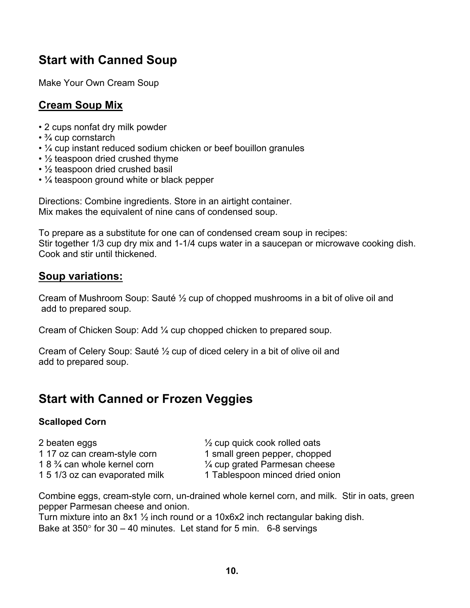# **Start with Canned Soup**

Make Your Own Cream Soup

### **Cream Soup Mix**

- 2 cups nonfat dry milk powder
- ¾ cup cornstarch
- ¼ cup instant reduced sodium chicken or beef bouillon granules
- $\cdot$  1/<sub>2</sub> teaspoon dried crushed thyme
- $\frac{1}{2}$  teaspoon dried crushed basil
- $\frac{1}{4}$  teaspoon ground white or black pepper

Directions: Combine ingredients. Store in an airtight container. Mix makes the equivalent of nine cans of condensed soup.

To prepare as a substitute for one can of condensed cream soup in recipes: Stir together 1/3 cup dry mix and 1-1/4 cups water in a saucepan or microwave cooking dish. Cook and stir until thickened.

#### **Soup variations:**

Cream of Mushroom Soup: Sauté ½ cup of chopped mushrooms in a bit of olive oil and add to prepared soup.

Cream of Chicken Soup: Add ¼ cup chopped chicken to prepared soup.

Cream of Celery Soup: Sauté ½ cup of diced celery in a bit of olive oil and add to prepared soup.

# **Start with Canned or Frozen Veggies**

#### **Scalloped Corn**

| 2 beaten eggs                           |
|-----------------------------------------|
| 1 17 oz can cream-style corn            |
| 1 8 $\frac{3}{4}$ can whole kernel corn |
| 1 5 1/3 oz can evaporated milk          |

 $\frac{1}{2}$  cup quick cook rolled oats 1 small green pepper, chopped  $\frac{1}{4}$  cup grated Parmesan cheese

1 Tablespoon minced dried onion

Combine eggs, cream-style corn, un-drained whole kernel corn, and milk. Stir in oats, green pepper Parmesan cheese and onion.

Turn mixture into an 8x1 ½ inch round or a 10x6x2 inch rectangular baking dish. Bake at  $350^\circ$  for  $30 - 40$  minutes. Let stand for 5 min. 6-8 servings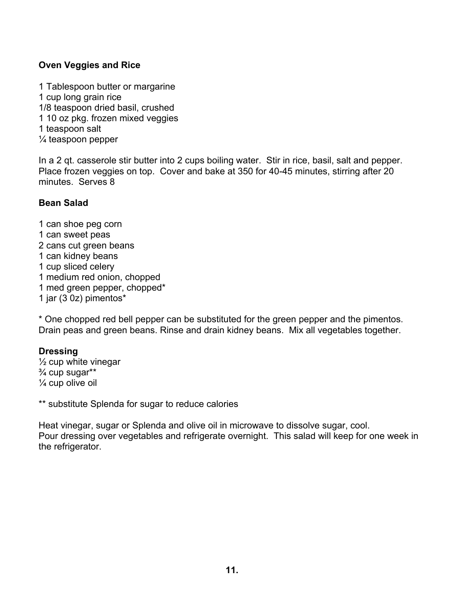#### **Oven Veggies and Rice**

1 Tablespoon butter or margarine 1 cup long grain rice 1/8 teaspoon dried basil, crushed 1 10 oz pkg. frozen mixed veggies 1 teaspoon salt ¼ teaspoon pepper

In a 2 qt. casserole stir butter into 2 cups boiling water. Stir in rice, basil, salt and pepper. Place frozen veggies on top. Cover and bake at 350 for 40-45 minutes, stirring after 20 minutes. Serves 8

#### **Bean Salad**

1 can shoe peg corn 1 can sweet peas 2 cans cut green beans 1 can kidney beans 1 cup sliced celery 1 medium red onion, chopped 1 med green pepper, chopped\* 1 jar (3 0z) pimentos\*

\* One chopped red bell pepper can be substituted for the green pepper and the pimentos. Drain peas and green beans. Rinse and drain kidney beans. Mix all vegetables together.

#### **Dressing**

 $\frac{1}{2}$  cup white vinegar  $\frac{3}{4}$  cup sugar\*\*  $\frac{1}{4}$  cup olive oil

\*\* substitute Splenda for sugar to reduce calories

Heat vinegar, sugar or Splenda and olive oil in microwave to dissolve sugar, cool. Pour dressing over vegetables and refrigerate overnight. This salad will keep for one week in the refrigerator.